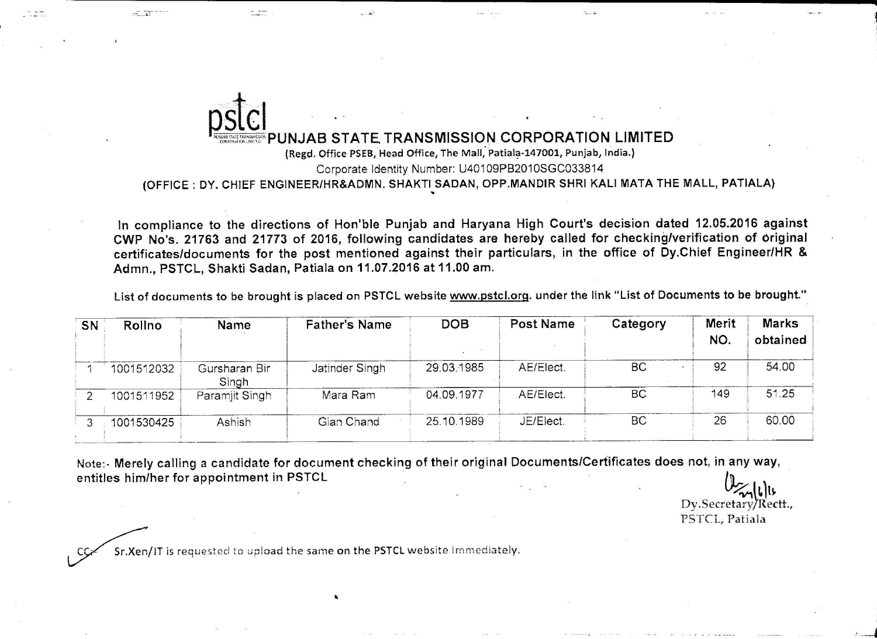

 $\sim$   $\approx$ 

(OFFICE ; DY. CHIEF ENGINEER/HR&ADMN, SHAKTISADAN, OPP,MANDIR SHRI KALI MATA THE MALL, PATIALA)

ln compliance to the directions of Hon'ble Punjab and Haryana High Court's decision dated 12.05.2016 against CWP No's. 21763 and 21773 of 2016, following candidates are hereby called for checking/verification of original certificates/documents for the post mentioned against their particulars, in the office of Dy.Chief Engineer/HR & Admn., PSTCL, Shakti Sadan, Patiala on 11.07.2016 at 11.00 am.

List of documents to be brought is placed on PSTCL website www.pstcl.org. under the link "List of Documents to be brought."

| <b>SN</b> | Rollno     | Name                   | <b>Father's Name</b> | <b>DOB</b> | <b>Post Name</b> | Category  | Merit<br>NO. | <b>Marks</b><br>obtained |
|-----------|------------|------------------------|----------------------|------------|------------------|-----------|--------------|--------------------------|
|           | 1001512032 | Gursharan Bir<br>Singh | Jatinder Singh       | 29.03.1985 | AE/Elect.        | <b>BC</b> | 92           | 54.00                    |
|           | 1001511952 | Paramjit Singh         | Mara Ram             | 04.09.1977 | AE/Elect.        | <b>BC</b> | 149          | 51.25                    |
|           | 1001530425 | Ashish                 | Gian Chand           | 25.10.1989 | JE/Elect.        | <b>BC</b> | 26           | 60.00                    |

Note:- Merely calling a candidate for document checking of their original Documents/Certificates does not, in any way, entitles him/her for appointment in PSTCL  $\overline{\mathbf{I}}$  in PSTCL  $\overline{\mathbf{I}}$ 

مال)<br>.Dy.Secretary/Rectt PSTCL, Patiala

*A* l

 $\overline{\phantom{a}}$ 

Sr.Xen/IT is requested to upload the same on the PSTCL website immediately.